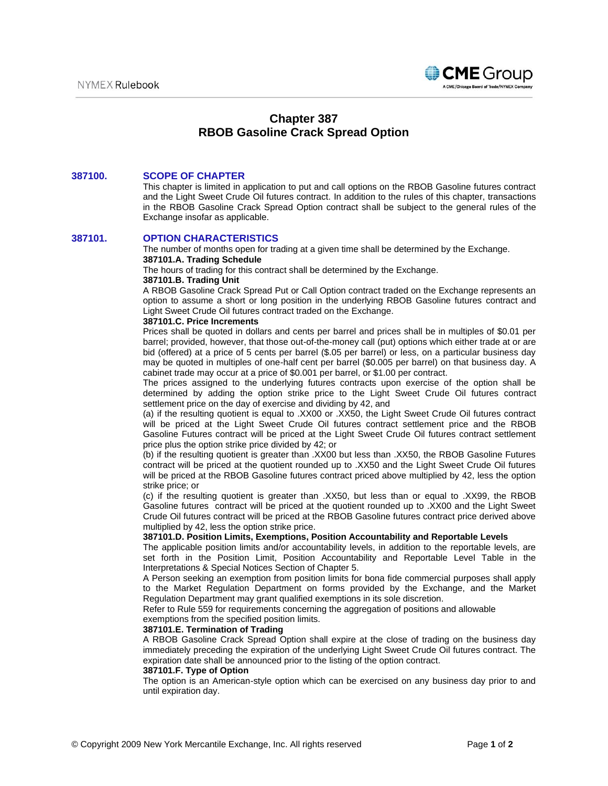

# **Chapter 387 RBOB Gasoline Crack Spread Option**

#### **387100. SCOPE OF CHAPTER**

This chapter is limited in application to put and call options on the RBOB Gasoline futures contract and the Light Sweet Crude Oil futures contract. In addition to the rules of this chapter, transactions in the RBOB Gasoline Crack Spread Option contract shall be subject to the general rules of the Exchange insofar as applicable.

#### **387101. OPTION CHARACTERISTICS**

The number of months open for trading at a given time shall be determined by the Exchange. **387101.A. Trading Schedule** 

The hours of trading for this contract shall be determined by the Exchange.

#### **387101.B. Trading Unit**

A RBOB Gasoline Crack Spread Put or Call Option contract traded on the Exchange represents an option to assume a short or long position in the underlying RBOB Gasoline futures contract and Light Sweet Crude Oil futures contract traded on the Exchange.

## **387101.C. Price Increments**

Prices shall be quoted in dollars and cents per barrel and prices shall be in multiples of \$0.01 per barrel; provided, however, that those out-of-the-money call (put) options which either trade at or are bid (offered) at a price of 5 cents per barrel (\$.05 per barrel) or less, on a particular business day may be quoted in multiples of one-half cent per barrel (\$0.005 per barrel) on that business day. A cabinet trade may occur at a price of \$0.001 per barrel, or \$1.00 per contract.

The prices assigned to the underlying futures contracts upon exercise of the option shall be determined by adding the option strike price to the Light Sweet Crude Oil futures contract settlement price on the day of exercise and dividing by 42, and

(a) if the resulting quotient is equal to .XX00 or .XX50, the Light Sweet Crude Oil futures contract will be priced at the Light Sweet Crude Oil futures contract settlement price and the RBOB Gasoline Futures contract will be priced at the Light Sweet Crude Oil futures contract settlement price plus the option strike price divided by 42; or

(b) if the resulting quotient is greater than .XX00 but less than .XX50, the RBOB Gasoline Futures contract will be priced at the quotient rounded up to .XX50 and the Light Sweet Crude Oil futures will be priced at the RBOB Gasoline futures contract priced above multiplied by 42, less the option strike price; or

(c) if the resulting quotient is greater than .XX50, but less than or equal to .XX99, the RBOB Gasoline futures contract will be priced at the quotient rounded up to .XX00 and the Light Sweet Crude Oil futures contract will be priced at the RBOB Gasoline futures contract price derived above multiplied by 42, less the option strike price.

#### **387101.D. Position Limits, Exemptions, Position Accountability and Reportable Levels**

The applicable position limits and/or accountability levels, in addition to the reportable levels, are set forth in the Position Limit, Position Accountability and Reportable Level Table in the Interpretations & Special Notices Section of Chapter 5.

A Person seeking an exemption from position limits for bona fide commercial purposes shall apply to the Market Regulation Department on forms provided by the Exchange, and the Market Regulation Department may grant qualified exemptions in its sole discretion.

Refer to Rule 559 for requirements concerning the aggregation of positions and allowable

## exemptions from the specified position limits.

**387101.E. Termination of Trading**

A RBOB Gasoline Crack Spread Option shall expire at the close of trading on the business day immediately preceding the expiration of the underlying Light Sweet Crude Oil futures contract. The expiration date shall be announced prior to the listing of the option contract.

#### **387101.F. Type of Option**

The option is an American-style option which can be exercised on any business day prior to and until expiration day.